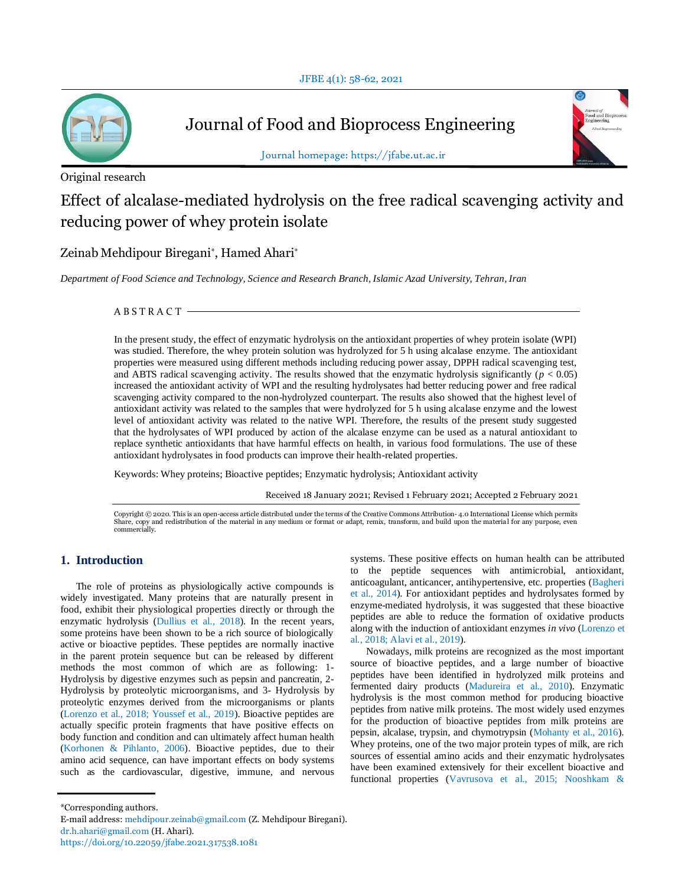

Journal of Food and Bioprocess Engineering





Journal homepage: https://jfabe.ut.ac.ir

# Effect of alcalase-mediated hydrolysis on the free radical scavenging activity and reducing power of whey protein isolate

Zeinab Mehdipour Biregani\* , Hamed Ahari\*

*Department of Food Science and Technology, Science and Research Branch, Islamic Azad University, Tehran, Iran*

A B S T R A C T

In the present study, the effect of enzymatic hydrolysis on the antioxidant properties of whey protein isolate (WPI) was studied. Therefore, the whey protein solution was hydrolyzed for 5 h using alcalase enzyme. The antioxidant properties were measured using different methods including reducing power assay, DPPH radical scavenging test, and ABTS radical scavenging activity. The results showed that the enzymatic hydrolysis significantly ( $p < 0.05$ ) increased the antioxidant activity of WPI and the resulting hydrolysates had better reducing power and free radical scavenging activity compared to the non-hydrolyzed counterpart. The results also showed that the highest level of antioxidant activity was related to the samples that were hydrolyzed for 5 h using alcalase enzyme and the lowest level of antioxidant activity was related to the native WPI. Therefore, the results of the present study suggested that the hydrolysates of WPI produced by action of the alcalase enzyme can be used as a natural antioxidant to replace synthetic antioxidants that have harmful effects on health, in various food formulations. The use of these antioxidant hydrolysates in food products can improve their health-related properties.

Keywords: Whey proteins; Bioactive peptides; Enzymatic hydrolysis; Antioxidant activity

Received 18 January 2021; Revised 1 February 2021; Accepted 2 February 2021

Copyright © 2020. This is an open-access article distributed under the terms of the Creative Commons Attribution- 4.0 International License which permits Share, copy and redistribution of the material in any medium or format or adapt, remix, transform, and build upon the materia l for any purpose, even commercially.

## **1. Introduction**

The role of proteins as physiologically active compounds is widely investigated. Many proteins that are naturally present in food, exhibit their physiological properties directly or through the enzymatic hydrolysis (Dullius et al., 2018). In the recent years, some proteins have been shown to be a rich source of biologically active or bioactive peptides. These peptides are normally inactive in the parent protein sequence but can be released by different methods the most common of which are as following: 1- Hydrolysis by digestive enzymes such as pepsin and pancreatin, 2- Hydrolysis by proteolytic microorganisms, and 3- Hydrolysis by proteolytic enzymes derived from the microorganisms or plants (Lorenzo et al., 2018; Youssef et al., 2019). Bioactive peptides are actually specific protein fragments that have positive effects on body function and condition and can ultimately affect human health (Korhonen & Pihlanto, 2006). Bioactive peptides, due to their amino acid sequence, can have important effects on body systems such as the cardiovascular, digestive, immune, and nervous systems. These positive effects on human health can be attributed to the peptide sequences with antimicrobial, antioxidant, anticoagulant, anticancer, antihypertensive, etc. properties (Bagheri et al., 2014). For antioxidant peptides and hydrolysates formed by enzyme-mediated hydrolysis, it was suggested that these bioactive peptides are able to reduce the formation of oxidative products along with the induction of antioxidant enzymes *in vivo* (Lorenzo et al., 2018; Alavi et al., 2019).

Nowadays, milk proteins are recognized as the most important source of bioactive peptides, and a large number of bioactive peptides have been identified in hydrolyzed milk proteins and fermented dairy products (Madureira et al., 2010). Enzymatic hydrolysis is the most common method for producing bioactive peptides from native milk proteins. The most widely used enzymes for the production of bioactive peptides from milk proteins are pepsin, alcalase, trypsin, and chymotrypsin (Mohanty et al., 2016). Whey proteins, one of the two major protein types of milk, are rich sources of essential amino acids and their enzymatic hydrolysates have been examined extensively for their excellent bioactive and functional properties (Vavrusova et al., 2015; Nooshkam &

<sup>\*</sup>Corresponding authors.

E-mail address: mehdipour.zeinab@gmail.com (Z. Mehdipour Biregani). dr.h.ahari@gmail.com (H. Ahari).

https://doi.org/10.22059/jfabe.2021.317538.1081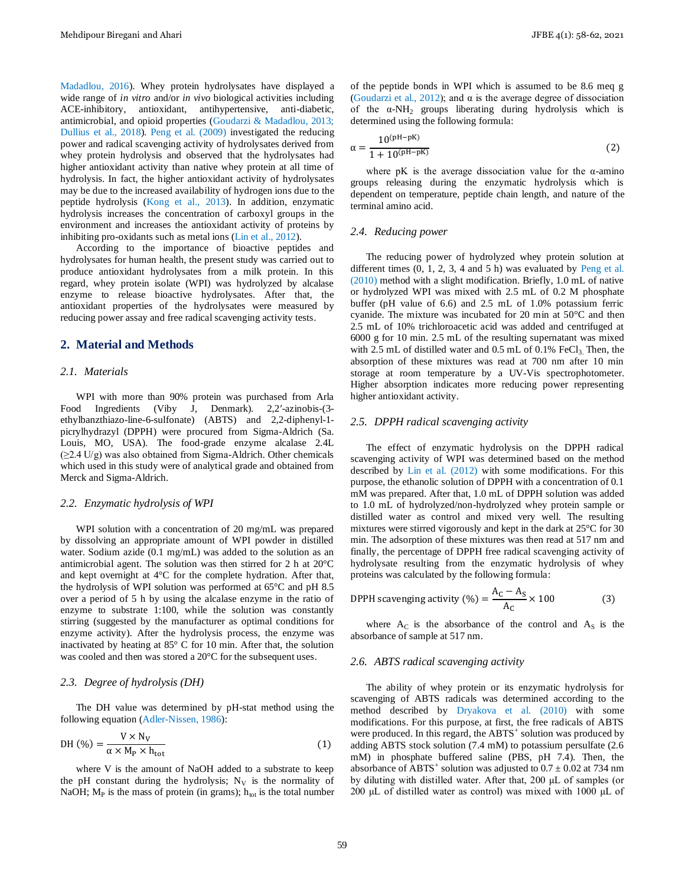Madadlou, 2016). Whey protein hydrolysates have displayed a wide range of *in vitro* and/or *in vivo* biological activities including ACE-inhibitory, antioxidant, antihypertensive, anti-diabetic, antimicrobial, and opioid properties (Goudarzi & Madadlou, 2013; Dullius et al., 2018). Peng et al. (2009) investigated the reducing power and radical scavenging activity of hydrolysates derived from whey protein hydrolysis and observed that the hydrolysates had higher antioxidant activity than native whey protein at all time of hydrolysis. In fact, the higher antioxidant activity of hydrolysates may be due to the increased availability of hydrogen ions due to the peptide hydrolysis (Kong et al., 2013). In addition, enzymatic hydrolysis increases the concentration of carboxyl groups in the environment and increases the antioxidant activity of proteins by inhibiting pro-oxidants such as metal ions (Lin et al., 2012).

According to the importance of bioactive peptides and hydrolysates for human health, the present study was carried out to produce antioxidant hydrolysates from a milk protein. In this regard, whey protein isolate (WPI) was hydrolyzed by alcalase enzyme to release bioactive hydrolysates. After that, the antioxidant properties of the hydrolysates were measured by reducing power assay and free radical scavenging activity tests.

#### **2. Material and Methods**

#### *2.1. Materials*

WPI with more than 90% protein was purchased from Arla Food Ingredients (Viby J, Denmark). 2,2′-azinobis-(3 ethylbanzthiazo-line-6-sulfonate) (ABTS) and 2,2-diphenyl-1 picrylhydrazyl (DPPH) were procured from Sigma-Aldrich (Sa. Louis, MO, USA). The food-grade enzyme alcalase 2.4L (≥2.4 U/g) was also obtained from Sigma-Aldrich. Other chemicals which used in this study were of analytical grade and obtained from Merck and Sigma-Aldrich.

#### *2.2. Enzymatic hydrolysis of WPI*

WPI solution with a concentration of 20 mg/mL was prepared by dissolving an appropriate amount of WPI powder in distilled water. Sodium azide (0.1 mg/mL) was added to the solution as an antimicrobial agent. The solution was then stirred for 2 h at 20°C and kept overnight at 4°C for the complete hydration. After that, the hydrolysis of WPI solution was performed at 65°C and pH 8.5 over a period of 5 h by using the alcalase enzyme in the ratio of enzyme to substrate 1:100, while the solution was constantly stirring (suggested by the manufacturer as optimal conditions for enzyme activity). After the hydrolysis process, the enzyme was inactivated by heating at 85° C for 10 min. After that, the solution was cooled and then was stored a 20°C for the subsequent uses.

#### *2.3. Degree of hydrolysis (DH)*

The DH value was determined by pH-stat method using the following equation (Adler-Nissen, 1986):

$$
DH (\%) = \frac{V \times N_V}{\alpha \times M_P \times h_{\text{tot}}} \tag{1}
$$

where V is the amount of NaOH added to a substrate to keep the pH constant during the hydrolysis;  $N_V$  is the normality of NaOH;  $M_P$  is the mass of protein (in grams);  $h_{tot}$  is the total number of the peptide bonds in WPI which is assumed to be 8.6 meq g (Goudarzi et al., 2012); and  $\alpha$  is the average degree of dissociation of the α-NH<sup>2</sup> groups liberating during hydrolysis which is determined using the following formula:

$$
\alpha = \frac{10^{(pH - pK)}}{1 + 10^{(pH - pK)}}
$$
(2)

where pK is the average dissociation value for the  $\alpha$ -amino groups releasing during the enzymatic hydrolysis which is dependent on temperature, peptide chain length, and nature of the terminal amino acid.

#### *2.4. Reducing power*

The reducing power of hydrolyzed whey protein solution at different times  $(0, 1, 2, 3, 4$  and  $5$  h) was evaluated by Peng et al. (2010) method with a slight modification. Briefly, 1.0 mL of native or hydrolyzed WPI was mixed with 2.5 mL of 0.2 M phosphate buffer (pH value of 6.6) and 2.5 mL of 1.0% potassium ferric cyanide. The mixture was incubated for 20 min at 50°C and then 2.5 mL of 10% trichloroacetic acid was added and centrifuged at 6000 g for 10 min. 2.5 mL of the resulting supernatant was mixed with 2.5 mL of distilled water and 0.5 mL of 0.1%  $FeCl<sub>3</sub>$ . Then, the absorption of these mixtures was read at 700 nm after 10 min storage at room temperature by a UV-Vis spectrophotometer. Higher absorption indicates more reducing power representing higher antioxidant activity.

#### *2.5. DPPH radical scavenging activity*

The effect of enzymatic hydrolysis on the DPPH radical scavenging activity of WPI was determined based on the method described by Lin et al. (2012) with some modifications. For this purpose, the ethanolic solution of DPPH with a concentration of 0.1 mM was prepared. After that, 1.0 mL of DPPH solution was added to 1.0 mL of hydrolyzed/non-hydrolyzed whey protein sample or distilled water as control and mixed very well. The resulting mixtures were stirred vigorously and kept in the dark at 25°C for 30 min. The adsorption of these mixtures was then read at 517 nm and finally, the percentage of DPPH free radical scavenging activity of hydrolysate resulting from the enzymatic hydrolysis of whey proteins was calculated by the following formula:

$$
\text{DPPH scanning activity } (\%) = \frac{A_C - A_S}{A_C} \times 100 \tag{3}
$$

where  $A_C$  is the absorbance of the control and  $A_S$  is the absorbance of sample at 517 nm.

#### *2.6. ABTS radical scavenging activity*

The ability of whey protein or its enzymatic hydrolysis for scavenging of ABTS radicals was determined according to the method described by Dryakova et al. (2010) with some modifications. For this purpose, at first, the free radicals of ABTS were produced. In this regard, the  $ABTS^+$  solution was produced by adding ABTS stock solution (7.4 mM) to potassium persulfate (2.6 mM) in phosphate buffered saline (PBS, pH 7.4). Then, the absorbance of ABTS<sup>+</sup> solution was adjusted to  $0.7 \pm 0.02$  at 734 nm by diluting with distilled water. After that, 200 μL of samples (or 200 μL of distilled water as control) was mixed with 1000 μL of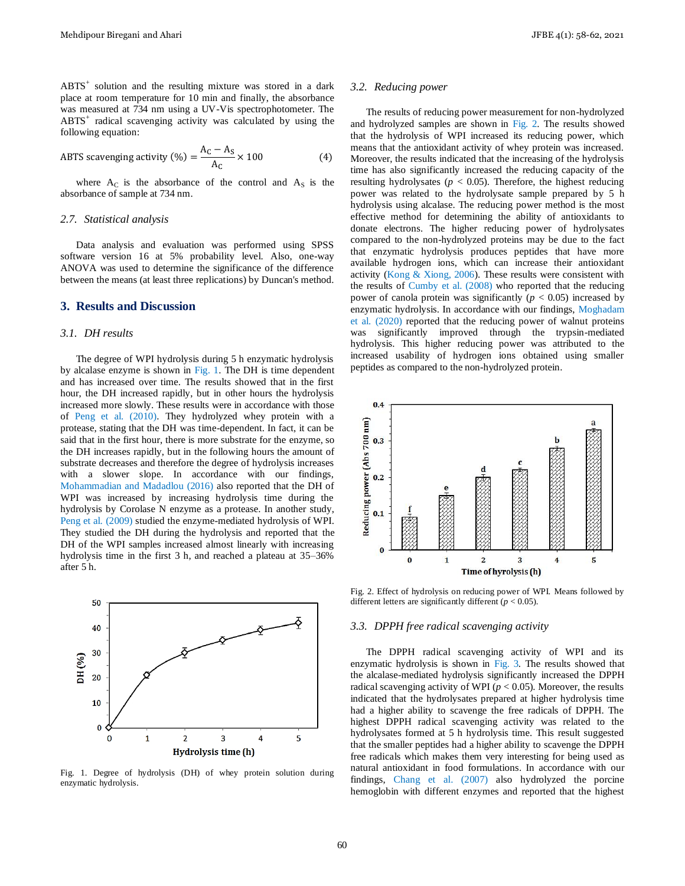ABTS<sup>+</sup> solution and the resulting mixture was stored in a dark place at room temperature for 10 min and finally, the absorbance was measured at 734 nm using a UV-Vis spectrophotometer. The ABTS<sup>+</sup> radical scavenging activity was calculated by using the following equation:

ABTS scavenging activity (%) = 
$$
\frac{A_C - A_S}{A_C} \times 100
$$
 (4)

where  $A_C$  is the absorbance of the control and  $A_S$  is the absorbance of sample at 734 nm.

#### *2.7. Statistical analysis*

Data analysis and evaluation was performed using SPSS software version 16 at 5% probability level. Also, one-way ANOVA was used to determine the significance of the difference between the means (at least three replications) by Duncan's method.

#### **3. Results and Discussion**

#### *3.1. DH results*

The degree of WPI hydrolysis during 5 h enzymatic hydrolysis by alcalase enzyme is shown in Fig. 1. The DH is time dependent and has increased over time. The results showed that in the first hour, the DH increased rapidly, but in other hours the hydrolysis increased more slowly. These results were in accordance with those of Peng et al. (2010). They hydrolyzed whey protein with a protease, stating that the DH was time-dependent. In fact, it can be said that in the first hour, there is more substrate for the enzyme, so the DH increases rapidly, but in the following hours the amount of substrate decreases and therefore the degree of hydrolysis increases with a slower slope. In accordance with our findings, Mohammadian and Madadlou (2016) also reported that the DH of WPI was increased by increasing hydrolysis time during the hydrolysis by Corolase N enzyme as a protease. In another study, Peng et al. (2009) studied the enzyme-mediated hydrolysis of WPI. They studied the DH during the hydrolysis and reported that the DH of the WPI samples increased almost linearly with increasing hydrolysis time in the first 3 h, and reached a plateau at 35–36% after 5 h.



Fig. 1. Degree of hydrolysis (DH) of whey protein solution during enzymatic hydrolysis.

#### *3.2. Reducing power*

The results of reducing power measurement for non-hydrolyzed and hydrolyzed samples are shown in Fig. 2. The results showed that the hydrolysis of WPI increased its reducing power, which means that the antioxidant activity of whey protein was increased. Moreover, the results indicated that the increasing of the hydrolysis time has also significantly increased the reducing capacity of the resulting hydrolysates ( $p < 0.05$ ). Therefore, the highest reducing power was related to the hydrolysate sample prepared by 5 h hydrolysis using alcalase. The reducing power method is the most effective method for determining the ability of antioxidants to donate electrons. The higher reducing power of hydrolysates compared to the non-hydrolyzed proteins may be due to the fact that enzymatic hydrolysis produces peptides that have more available hydrogen ions, which can increase their antioxidant activity (Kong & Xiong, 2006). These results were consistent with the results of Cumby et al. (2008) who reported that the reducing power of canola protein was significantly  $(p < 0.05)$  increased by enzymatic hydrolysis. In accordance with our findings, Moghadam et al. (2020) reported that the reducing power of walnut proteins was significantly improved through the trypsin-mediated hydrolysis. This higher reducing power was attributed to the increased usability of hydrogen ions obtained using smaller peptides as compared to the non-hydrolyzed protein.



Fig. 2. Effect of hydrolysis on reducing power of WPI. Means followed by different letters are significantly different ( $p < 0.05$ ).

#### *3.3. DPPH free radical scavenging activity*

The DPPH radical scavenging activity of WPI and its enzymatic hydrolysis is shown in Fig. 3. The results showed that the alcalase-mediated hydrolysis significantly increased the DPPH radical scavenging activity of WPI (*p* < 0.05). Moreover, the results indicated that the hydrolysates prepared at higher hydrolysis time had a higher ability to scavenge the free radicals of DPPH. The highest DPPH radical scavenging activity was related to the hydrolysates formed at 5 h hydrolysis time. This result suggested that the smaller peptides had a higher ability to scavenge the DPPH free radicals which makes them very interesting for being used as natural antioxidant in food formulations. In accordance with our findings, Chang et al. (2007) also hydrolyzed the porcine hemoglobin with different enzymes and reported that the highest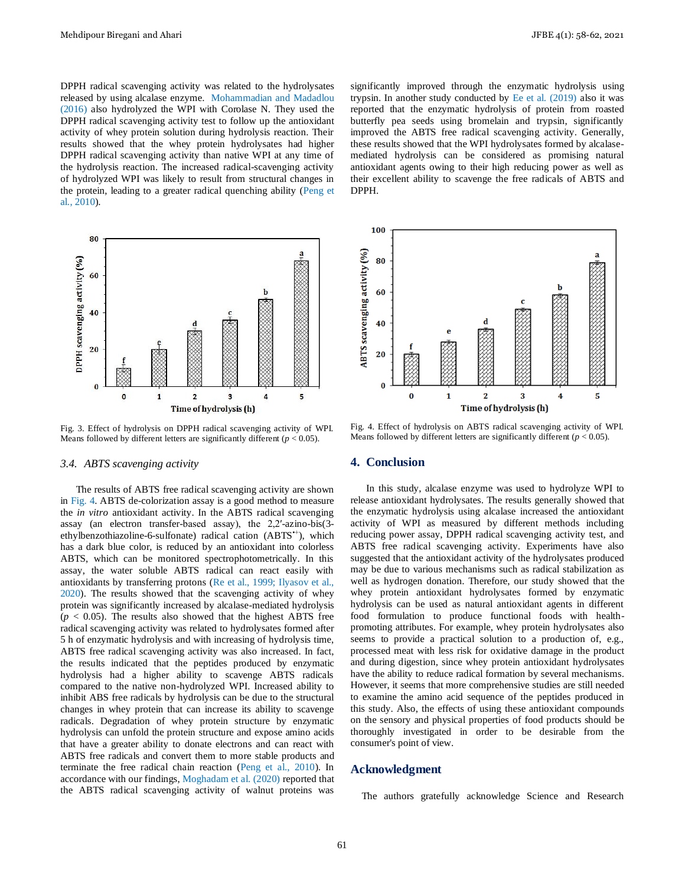DPPH radical scavenging activity was related to the hydrolysates released by using alcalase enzyme. Mohammadian and Madadlou (2016) also hydrolyzed the WPI with Corolase N. They used the DPPH radical scavenging activity test to follow up the antioxidant activity of whey protein solution during hydrolysis reaction. Their results showed that the whey protein hydrolysates had higher DPPH radical scavenging activity than native WPI at any time of the hydrolysis reaction. The increased radical-scavenging activity of hydrolyzed WPI was likely to result from structural changes in the protein, leading to a greater radical quenching ability (Peng et al., 2010).



Fig. 3. Effect of hydrolysis on DPPH radical scavenging activity of WPI. Means followed by different letters are significantly different  $(p < 0.05)$ .

#### *3.4. ABTS scavenging activity*

The results of ABTS free radical scavenging activity are shown in Fig. 4. ABTS de-colorization assay is a good method to measure the *in vitro* antioxidant activity. In the ABTS radical scavenging assay (an electron transfer-based assay), the 2,2′-azino-bis(3 ethylbenzothiazoline-6-sulfonate) radical cation (ABTS<sup>++</sup>), which has a dark blue color, is reduced by an antioxidant into colorless ABTS, which can be monitored spectrophotometrically. In this assay, the water soluble ABTS radical can react easily with antioxidants by transferring protons (Re et al., 1999; Ilyasov et al., 2020). The results showed that the scavenging activity of whey protein was significantly increased by alcalase-mediated hydrolysis  $(p < 0.05)$ . The results also showed that the highest ABTS free radical scavenging activity was related to hydrolysates formed after 5 h of enzymatic hydrolysis and with increasing of hydrolysis time, ABTS free radical scavenging activity was also increased. In fact, the results indicated that the peptides produced by enzymatic hydrolysis had a higher ability to scavenge ABTS radicals compared to the native non-hydrolyzed WPI. Increased ability to inhibit ABS free radicals by hydrolysis can be due to the structural changes in whey protein that can increase its ability to scavenge radicals. Degradation of whey protein structure by enzymatic hydrolysis can unfold the protein structure and expose amino acids that have a greater ability to donate electrons and can react with ABTS free radicals and convert them to more stable products and terminate the free radical chain reaction (Peng et al., 2010). In accordance with our findings, Moghadam et al. (2020) reported that the ABTS radical scavenging activity of walnut proteins was

significantly improved through the enzymatic hydrolysis using trypsin. In another study conducted by Ee et al. (2019) also it was reported that the enzymatic hydrolysis of protein from roasted butterfly pea seeds using bromelain and trypsin, significantly improved the ABTS free radical scavenging activity. Generally, these results showed that the WPI hydrolysates formed by alcalasemediated hydrolysis can be considered as promising natural antioxidant agents owing to their high reducing power as well as their excellent ability to scavenge the free radicals of ABTS and DPPH.



Fig. 4. Effect of hydrolysis on ABTS radical scavenging activity of WPI. Means followed by different letters are significantly different  $(p < 0.05)$ .

#### **4. Conclusion**

In this study, alcalase enzyme was used to hydrolyze WPI to release antioxidant hydrolysates. The results generally showed that the enzymatic hydrolysis using alcalase increased the antioxidant activity of WPI as measured by different methods including reducing power assay, DPPH radical scavenging activity test, and ABTS free radical scavenging activity. Experiments have also suggested that the antioxidant activity of the hydrolysates produced may be due to various mechanisms such as radical stabilization as well as hydrogen donation. Therefore, our study showed that the whey protein antioxidant hydrolysates formed by enzymatic hydrolysis can be used as natural antioxidant agents in different food formulation to produce functional foods with healthpromoting attributes. For example, whey protein hydrolysates also seems to provide a practical solution to a production of, e.g., processed meat with less risk for oxidative damage in the product and during digestion, since whey protein antioxidant hydrolysates have the ability to reduce radical formation by several mechanisms. However, it seems that more comprehensive studies are still needed to examine the amino acid sequence of the peptides produced in this study. Also, the effects of using these antioxidant compounds on the sensory and physical properties of food products should be thoroughly investigated in order to be desirable from the consumer's point of view.

#### **Acknowledgment**

The authors gratefully acknowledge Science and Research